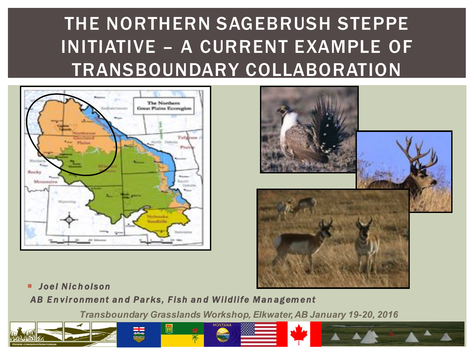## THE NORTHERN SAGEBRUSH STEPPE INITIATIVE – A CURRENT EXAMPLE OF TRANSBOUNDARY COLLABORATION





¡ *Joel Nic h olson*

*AB E n vironment an d Parks, Fish an d Wildlife Man agement* 

*Transboundary Grasslands Workshop, Elkwater, AB January 19-20, 2016* 



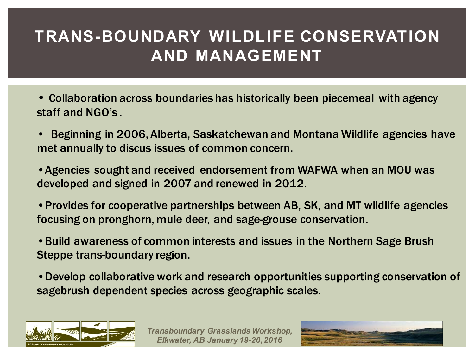### **TRANS-BOUNDARY WILDLIFE CONSERVATION AND MANAGEMENT**

- Collaboration across boundaries has historically been piecemeal with agency staff and NGO's .
- Beginning in 2006, Alberta, Saskatchewan and Montana Wildlife agencies have met annually to discus issues of common concern.

•Agencies sought and received endorsement from WAFWA when an MOU was developed and signed in 2007 and renewed in 2012.

•Provides for cooperative partnerships between AB, SK, and MT wildlife agencies focusing on pronghorn, mule deer, and sage-grouse conservation.

•Build awareness of common interests and issues in the Northern Sage Brush Steppe trans-boundary region.

•Develop collaborative work and research opportunities supporting conservation of sagebrush dependent species across geographic scales.



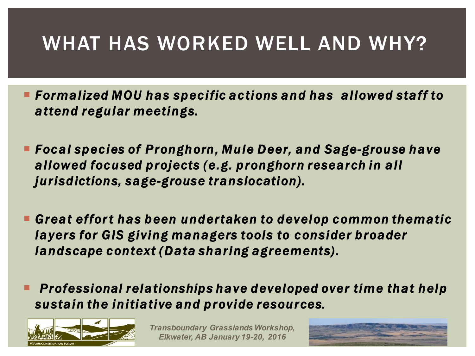## WHAT HAS WORKED WELL AND WHY?

- Formalized MOU has specific actions and has allowed staff to *attend regular meetings.*
- ¡ *Focal species of Pronghorn, Mule Deer, and Sage-grouse have allowed focused projects (e.g. pronghorn research in all jurisdictions, sage-grouse translocation).*
- ¡ *Great effor t has been undertaken to develop common thematic layers for GIS giving managers tools to consider broader landscape context (Data sharing agreements).*
- Professional relationships have developed over time that help *sustain the initiative and provide resources.*



*Transboundary Grasslands Workshop, Elkwater, AB January 19-20, 2016* 

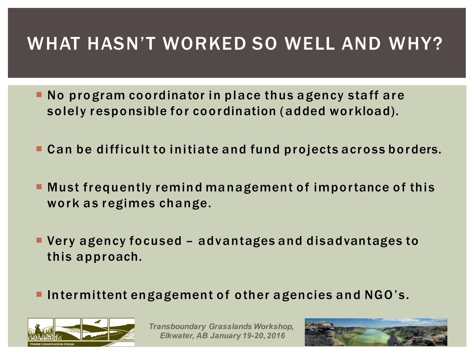## WHAT HASN'T WORKED SO WELL AND WHY?

- ¡ No program coordinator in place thus agency staff are solely responsible for coordination (added workload).
- ¡ Can be difficult to initiate and fund projects across borders.
- ¡ Must frequently remind management of importance of this work as regimes change.
- ¡ Very agency focused advantages and disadvantages to this approach.
- Intermittent engagement of other agencies and NGO's.